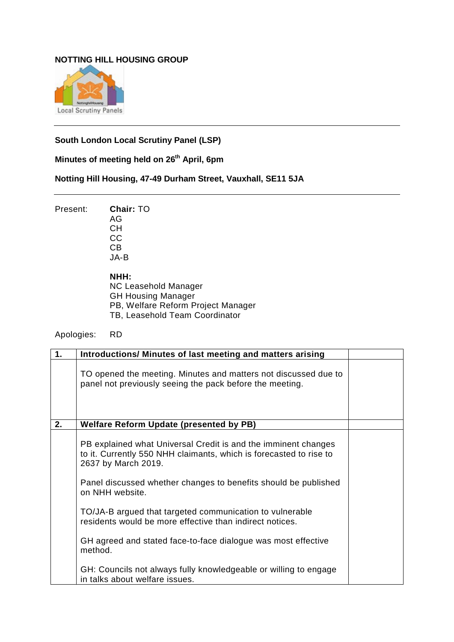## **NOTTING HILL HOUSING GROUP**



## **South London Local Scrutiny Panel (LSP)**

**Minutes of meeting held on 26th April, 6pm**

## **Notting Hill Housing, 47-49 Durham Street, Vauxhall, SE11 5JA**

Present: **Chair:** TO AG CH

CC CB JA-B

**NHH:**

NC Leasehold Manager GH Housing Manager PB, Welfare Reform Project Manager TB, Leasehold Team Coordinator

Apologies: RD

| $\mathbf{1}$ . | Introductions/ Minutes of last meeting and matters arising                                                                                                                                                                                        |  |
|----------------|---------------------------------------------------------------------------------------------------------------------------------------------------------------------------------------------------------------------------------------------------|--|
|                | TO opened the meeting. Minutes and matters not discussed due to<br>panel not previously seeing the pack before the meeting.                                                                                                                       |  |
| 2.             | <b>Welfare Reform Update (presented by PB)</b>                                                                                                                                                                                                    |  |
|                | PB explained what Universal Credit is and the imminent changes<br>to it. Currently 550 NHH claimants, which is forecasted to rise to<br>2637 by March 2019.<br>Panel discussed whether changes to benefits should be published<br>on NHH website. |  |
|                | TO/JA-B argued that targeted communication to vulnerable<br>residents would be more effective than indirect notices.                                                                                                                              |  |
|                | GH agreed and stated face-to-face dialogue was most effective<br>method.                                                                                                                                                                          |  |
|                | GH: Councils not always fully knowledgeable or willing to engage<br>in talks about welfare issues.                                                                                                                                                |  |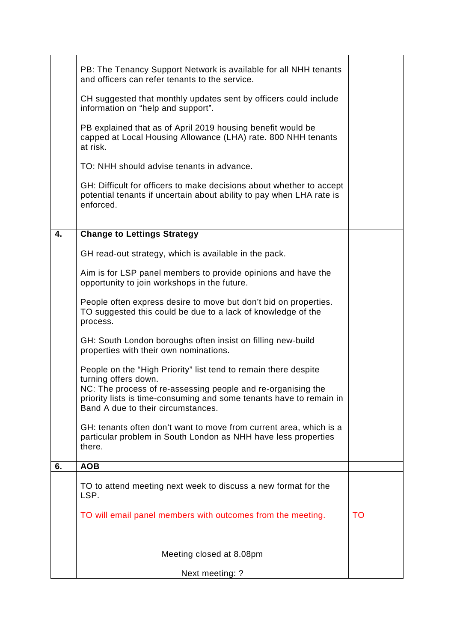|    | PB: The Tenancy Support Network is available for all NHH tenants<br>and officers can refer tenants to the service.                                                        |    |
|----|---------------------------------------------------------------------------------------------------------------------------------------------------------------------------|----|
|    | CH suggested that monthly updates sent by officers could include<br>information on "help and support".                                                                    |    |
|    | PB explained that as of April 2019 housing benefit would be<br>capped at Local Housing Allowance (LHA) rate. 800 NHH tenants<br>at risk.                                  |    |
|    | TO: NHH should advise tenants in advance.                                                                                                                                 |    |
|    | GH: Difficult for officers to make decisions about whether to accept<br>potential tenants if uncertain about ability to pay when LHA rate is<br>enforced.                 |    |
| 4. | <b>Change to Lettings Strategy</b>                                                                                                                                        |    |
|    | GH read-out strategy, which is available in the pack.                                                                                                                     |    |
|    |                                                                                                                                                                           |    |
|    | Aim is for LSP panel members to provide opinions and have the<br>opportunity to join workshops in the future.                                                             |    |
|    | People often express desire to move but don't bid on properties.<br>TO suggested this could be due to a lack of knowledge of the<br>process.                              |    |
|    | GH: South London boroughs often insist on filling new-build<br>properties with their own nominations.                                                                     |    |
|    | People on the "High Priority" list tend to remain there despite<br>turning offers down.                                                                                   |    |
|    | NC: The process of re-assessing people and re-organising the<br>priority lists is time-consuming and some tenants have to remain in<br>Band A due to their circumstances. |    |
|    | GH: tenants often don't want to move from current area, which is a<br>particular problem in South London as NHH have less properties<br>there.                            |    |
| 6. | <b>AOB</b>                                                                                                                                                                |    |
|    | TO to attend meeting next week to discuss a new format for the<br>LSP.                                                                                                    |    |
|    | TO will email panel members with outcomes from the meeting.                                                                                                               | TO |
|    | Meeting closed at 8.08pm                                                                                                                                                  |    |
|    | Next meeting: ?                                                                                                                                                           |    |